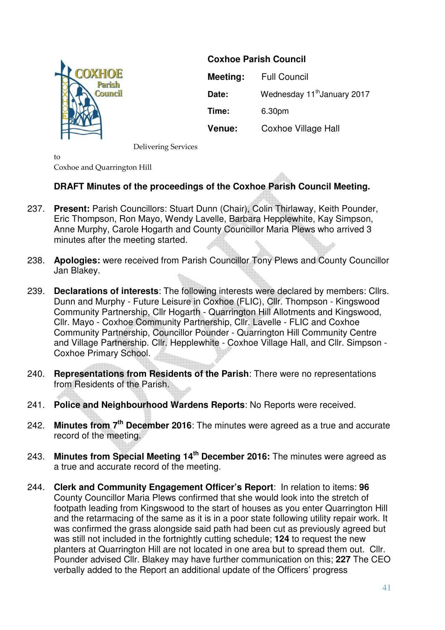

**Coxhoe Parish Council** 

**Meeting:** Full Council Date: Wednesday 11<sup>th</sup> January 2017 **Time:** 6.30pm **Venue:** Coxhoe Village Hall

Delivering Services

 $t_0$ Coxhoe and Quarrington Hill

# **DRAFT Minutes of the proceedings of the Coxhoe Parish Council Meeting.**

- 237. **Present:** Parish Councillors: Stuart Dunn (Chair), Colin Thirlaway, Keith Pounder, Eric Thompson, Ron Mayo, Wendy Lavelle, Barbara Hepplewhite, Kay Simpson, Anne Murphy, Carole Hogarth and County Councillor Maria Plews who arrived 3 minutes after the meeting started.
- 238. **Apologies:** were received from Parish Councillor Tony Plews and County Councillor Jan Blakey.
- 239. **Declarations of interests**: The following interests were declared by members: Cllrs. Dunn and Murphy - Future Leisure in Coxhoe (FLIC), Cllr. Thompson - Kingswood Community Partnership, Cllr Hogarth - Quarrington Hill Allotments and Kingswood, Cllr. Mayo - Coxhoe Community Partnership, Cllr. Lavelle - FLIC and Coxhoe Community Partnership, Councillor Pounder - Quarrington Hill Community Centre and Village Partnership. Cllr. Hepplewhite - Coxhoe Village Hall, and Cllr. Simpson - Coxhoe Primary School.
- 240. **Representations from Residents of the Parish**: There were no representations from Residents of the Parish.
- 241. **Police and Neighbourhood Wardens Reports**: No Reports were received.
- 242. **Minutes from 7th December 2016**: The minutes were agreed as a true and accurate record of the meeting.
- 243. **Minutes from Special Meeting 14th December 2016:** The minutes were agreed as a true and accurate record of the meeting.
- 244. **Clerk and Community Engagement Officer's Report**: In relation to items: **96**  County Councillor Maria Plews confirmed that she would look into the stretch of footpath leading from Kingswood to the start of houses as you enter Quarrington Hill and the retarmacing of the same as it is in a poor state following utility repair work. It was confirmed the grass alongside said path had been cut as previously agreed but was still not included in the fortnightly cutting schedule: **124** to request the new planters at Quarrington Hill are not located in one area but to spread them out. Cllr. Pounder advised Cllr. Blakey may have further communication on this; **227** The CEO verbally added to the Report an additional update of the Officers' progress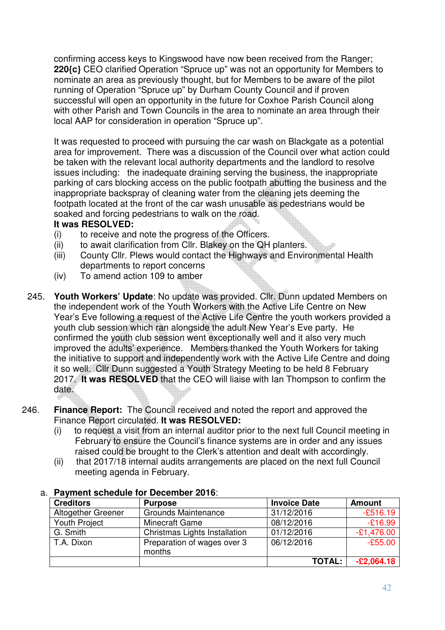confirming access keys to Kingswood have now been received from the Ranger; **220{c}** CEO clarified Operation "Spruce up" was not an opportunity for Members to nominate an area as previously thought, but for Members to be aware of the pilot running of Operation "Spruce up" by Durham County Council and if proven successful will open an opportunity in the future for Coxhoe Parish Council along with other Parish and Town Councils in the area to nominate an area through their local AAP for consideration in operation "Spruce up".

It was requested to proceed with pursuing the car wash on Blackgate as a potential area for improvement. There was a discussion of the Council over what action could be taken with the relevant local authority departments and the landlord to resolve issues including: the inadequate draining serving the business, the inappropriate parking of cars blocking access on the public footpath abutting the business and the inappropriate backspray of cleaning water from the cleaning jets deeming the footpath located at the front of the car wash unusable as pedestrians would be soaked and forcing pedestrians to walk on the road.

### **It was RESOLVED:**

- (i) to receive and note the progress of the Officers.
- (ii) to await clarification from Cllr. Blakey on the QH planters.
- (iii) County Cllr. Plews would contact the Highways and Environmental Health departments to report concerns
- (iv) To amend action 109 to amber
- 245. **Youth Workers' Update**: No update was provided. Cllr. Dunn updated Members on the independent work of the Youth Workers with the Active Life Centre on New Year's Eve following a request of the Active Life Centre the youth workers provided a youth club session which ran alongside the adult New Year's Eve party. He confirmed the youth club session went exceptionally well and it also very much improved the adults' experience. Members thanked the Youth Workers for taking the initiative to support and independently work with the Active Life Centre and doing it so well. Cllr Dunn suggested a Youth Strategy Meeting to be held 8 February 2017. **It was RESOLVED** that the CEO will liaise with Ian Thompson to confirm the date.
- 246. **Finance Report:** The Council received and noted the report and approved the Finance Report circulated. **It was RESOLVED:** 
	- (i) to request a visit from an internal auditor prior to the next full Council meeting in February to ensure the Council's finance systems are in order and any issues raised could be brought to the Clerk's attention and dealt with accordingly.
	- (ii) that 2017/18 internal audits arrangements are placed on the next full Council meeting agenda in February.

| <b>Creditors</b>   | <b>Purpose</b>                        | <b>Invoice Date</b> | <b>Amount</b> |
|--------------------|---------------------------------------|---------------------|---------------|
| Altogether Greener | <b>Grounds Maintenance</b>            | 31/12/2016          | $-£516.19$    |
| Youth Project      | Minecraft Game                        | 08/12/2016          | $-£16.99$     |
| G. Smith           | Christmas Lights Installation         | 01/12/2016          | $-£1,476.00$  |
| T.A. Dixon         | Preparation of wages over 3<br>months | 06/12/2016          | $-£55.00$     |
|                    |                                       | <b>TOTAL:</b>       | $-E2,064.18$  |

#### a. **Payment schedule for December 2016**: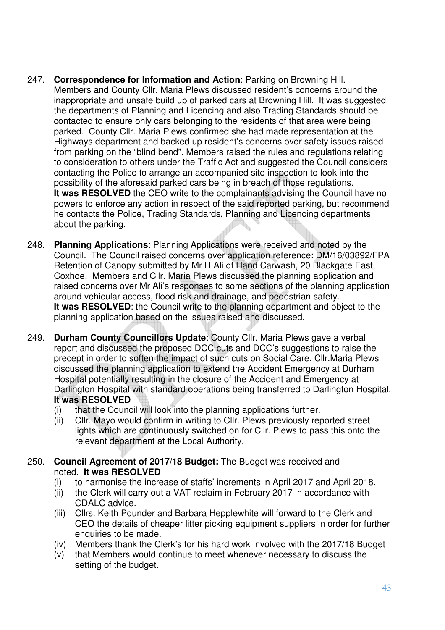- 247. **Correspondence for Information and Action**: Parking on Browning Hill. Members and County Cllr. Maria Plews discussed resident's concerns around the inappropriate and unsafe build up of parked cars at Browning Hill. It was suggested the departments of Planning and Licencing and also Trading Standards should be contacted to ensure only cars belonging to the residents of that area were being parked. County Cllr. Maria Plews confirmed she had made representation at the Highways department and backed up resident's concerns over safety issues raised from parking on the "blind bend". Members raised the rules and regulations relating to consideration to others under the Traffic Act and suggested the Council considers contacting the Police to arrange an accompanied site inspection to look into the possibility of the aforesaid parked cars being in breach of those regulations. **It was RESOLVED** the CEO write to the complainants advising the Council have no powers to enforce any action in respect of the said reported parking, but recommend he contacts the Police, Trading Standards, Planning and Licencing departments about the parking.
- 248. **Planning Applications**: Planning Applications were received and noted by the Council. The Council raised concerns over application reference: DM/16/03892/FPA Retention of Canopy submitted by Mr H Ali of Hand Carwash, 20 Blackgate East, Coxhoe. Members and Cllr. Maria Plews discussed the planning application and raised concerns over Mr Ali's responses to some sections of the planning application around vehicular access, flood risk and drainage, and pedestrian safety. **It was RESOLVED**: the Council write to the planning department and object to the planning application based on the issues raised and discussed.
- 249. **Durham County Councillors Update**: County Cllr. Maria Plews gave a verbal report and discussed the proposed DCC cuts and DCC's suggestions to raise the precept in order to soften the impact of such cuts on Social Care. Cllr.Maria Plews discussed the planning application to extend the Accident Emergency at Durham Hospital potentially resulting in the closure of the Accident and Emergency at Darlington Hospital with standard operations being transferred to Darlington Hospital. **It was RESOLVED**
	- (i) that the Council will look into the planning applications further.
	- (ii) Cllr. Mayo would confirm in writing to Cllr. Plews previously reported street lights which are continuously switched on for Cllr. Plews to pass this onto the relevant department at the Local Authority.
- 250. **Council Agreement of 2017/18 Budget:** The Budget was received and noted. **It was RESOLVED**
	- (i) to harmonise the increase of staffs' increments in April 2017 and April 2018.
	- (ii) the Clerk will carry out a VAT reclaim in February 2017 in accordance with CDALC advice.
	- (iii) Cllrs. Keith Pounder and Barbara Hepplewhite will forward to the Clerk and CEO the details of cheaper litter picking equipment suppliers in order for further enquiries to be made.
	- (iv) Members thank the Clerk's for his hard work involved with the 2017/18 Budget
	- (v) that Members would continue to meet whenever necessary to discuss the setting of the budget.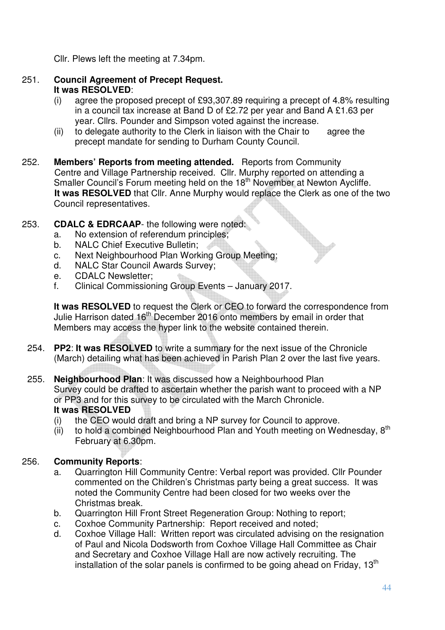Cllr. Plews left the meeting at 7.34pm.

- 251. **Council Agreement of Precept Request. It was RESOLVED**:
	- (i) agree the proposed precept of £93,307.89 requiring a precept of 4.8% resulting in a council tax increase at Band D of £2.72 per year and Band A £1.63 per year. Cllrs. Pounder and Simpson voted against the increase.
	- $(ii)$  to delegate authority to the Clerk in liaison with the Chair to agree the precept mandate for sending to Durham County Council.
- 252. **Members' Reports from meeting attended.** Reports from Community Centre and Village Partnership received. Cllr. Murphy reported on attending a Smaller Council's Forum meeting held on the 18<sup>th</sup> November at Newton Aycliffe. **It was RESOLVED** that Cllr. Anne Murphy would replace the Clerk as one of the two Council representatives.
- 253. **CDALC & EDRCAAP** the following were noted:
	- a. No extension of referendum principles;
	- b. NALC Chief Executive Bulletin;
	- c. Next Neighbourhood Plan Working Group Meeting;
	- d. NALC Star Council Awards Survey;
	- e. CDALC Newsletter;
	- f. Clinical Commissioning Group Events January 2017.

**It was RESOLVED** to request the Clerk or CEO to forward the correspondence from Julie Harrison dated 16<sup>th</sup> December 2016 onto members by email in order that Members may access the hyper link to the website contained therein.

- 254. **PP2**: **It was RESOLVED** to write a summary for the next issue of the Chronicle (March) detailing what has been achieved in Parish Plan 2 over the last five years.
- 255. **Neighbourhood Plan**: It was discussed how a Neighbourhood Plan Survey could be drafted to ascertain whether the parish want to proceed with a NP or PP3 and for this survey to be circulated with the March Chronicle. **It was RESOLVED**
	- (i) the CEO would draft and bring a NP survey for Council to approve.
	- (ii) to hold a combined Neighbourhood Plan and Youth meeting on Wednesday,  $8<sup>th</sup>$ February at 6.30pm.

# 256. **Community Reports**:

- a. Quarrington Hill Community Centre: Verbal report was provided. Cllr Pounder commented on the Children's Christmas party being a great success. It was noted the Community Centre had been closed for two weeks over the Christmas break.
- b. Quarrington Hill Front Street Regeneration Group: Nothing to report;
- c. Coxhoe Community Partnership: Report received and noted;
- d. Coxhoe Village Hall: Written report was circulated advising on the resignation of Paul and Nicola Dodsworth from Coxhoe Village Hall Committee as Chair and Secretary and Coxhoe Village Hall are now actively recruiting. The installation of the solar panels is confirmed to be going ahead on Friday, 13<sup>th</sup>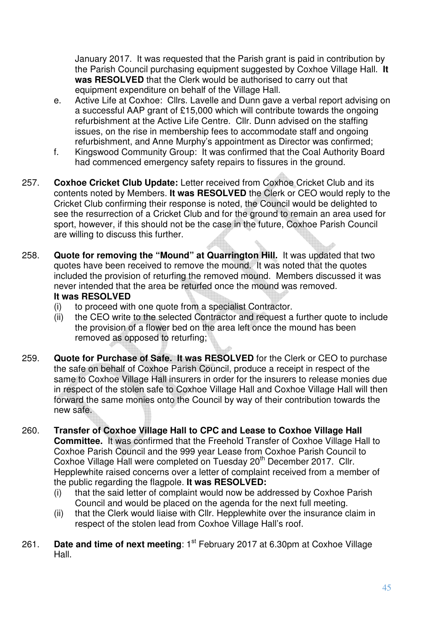January 2017. It was requested that the Parish grant is paid in contribution by the Parish Council purchasing equipment suggested by Coxhoe Village Hall. **It was RESOLVED** that the Clerk would be authorised to carry out that equipment expenditure on behalf of the Village Hall.

- e. Active Life at Coxhoe: Cllrs. Lavelle and Dunn gave a verbal report advising on a successful AAP grant of £15,000 which will contribute towards the ongoing refurbishment at the Active Life Centre. Cllr. Dunn advised on the staffing issues, on the rise in membership fees to accommodate staff and ongoing refurbishment, and Anne Murphy's appointment as Director was confirmed;
- f. Kingswood Community Group: It was confirmed that the Coal Authority Board had commenced emergency safety repairs to fissures in the ground.
- 257. **Coxhoe Cricket Club Update:** Letter received from Coxhoe Cricket Club and its contents noted by Members. **It was RESOLVED** the Clerk or CEO would reply to the Cricket Club confirming their response is noted, the Council would be delighted to see the resurrection of a Cricket Club and for the ground to remain an area used for sport, however, if this should not be the case in the future, Coxhoe Parish Council are willing to discuss this further.
- 258. **Quote for removing the "Mound" at Quarrington Hill.** It was updated that two quotes have been received to remove the mound. It was noted that the quotes included the provision of returfing the removed mound. Members discussed it was never intended that the area be returfed once the mound was removed. **It was RESOLVED**
	- (i) to proceed with one quote from a specialist Contractor.
	- (ii) the CEO write to the selected Contractor and request a further quote to include the provision of a flower bed on the area left once the mound has been removed as opposed to returfing;
- 259. **Quote for Purchase of Safe. It was RESOLVED** for the Clerk or CEO to purchase the safe on behalf of Coxhoe Parish Council, produce a receipt in respect of the same to Coxhoe Village Hall insurers in order for the insurers to release monies due in respect of the stolen safe to Coxhoe Village Hall and Coxhoe Village Hall will then forward the same monies onto the Council by way of their contribution towards the new safe.
- 260. **Transfer of Coxhoe Village Hall to CPC and Lease to Coxhoe Village Hall Committee.** It was confirmed that the Freehold Transfer of Coxhoe Village Hall to Coxhoe Parish Council and the 999 year Lease from Coxhoe Parish Council to Coxhoe Village Hall were completed on Tuesday 20<sup>th</sup> December 2017. Cllr. Hepplewhite raised concerns over a letter of complaint received from a member of the public regarding the flagpole. **It was RESOLVED:**
	- (i) that the said letter of complaint would now be addressed by Coxhoe Parish Council and would be placed on the agenda for the next full meeting.
	- (ii) that the Clerk would liaise with Cllr. Hepplewhite over the insurance claim in respect of the stolen lead from Coxhoe Village Hall's roof.
- 261. **Date and time of next meeting**: 1<sup>st</sup> February 2017 at 6.30pm at Coxhoe Village Hall.